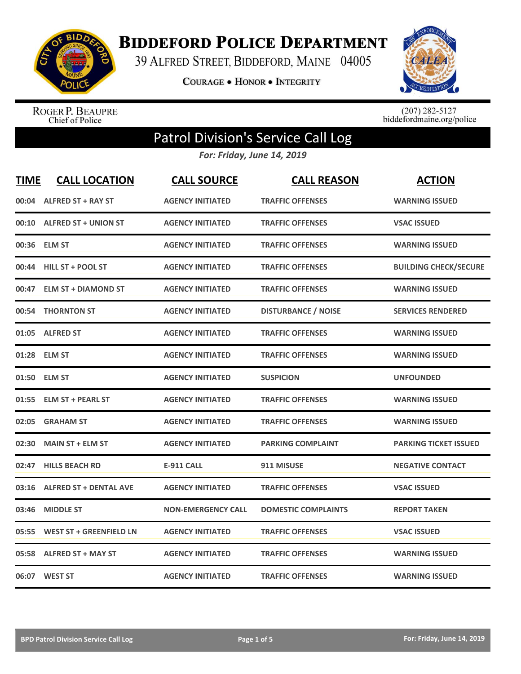

**BIDDEFORD POLICE DEPARTMENT** 

39 ALFRED STREET, BIDDEFORD, MAINE 04005

**COURAGE . HONOR . INTEGRITY** 



ROGER P. BEAUPRE<br>Chief of Police

 $(207)$  282-5127<br>biddefordmaine.org/police

## Patrol Division's Service Call Log

*For: Friday, June 14, 2019*

| <b>TIME</b> | <b>CALL LOCATION</b>           | <b>CALL SOURCE</b>        | <b>CALL REASON</b>         | <b>ACTION</b>                |
|-------------|--------------------------------|---------------------------|----------------------------|------------------------------|
| 00:04       | <b>ALFRED ST + RAY ST</b>      | <b>AGENCY INITIATED</b>   | <b>TRAFFIC OFFENSES</b>    | <b>WARNING ISSUED</b>        |
| 00:10       | <b>ALFRED ST + UNION ST</b>    | <b>AGENCY INITIATED</b>   | <b>TRAFFIC OFFENSES</b>    | <b>VSAC ISSUED</b>           |
| 00:36       | <b>ELM ST</b>                  | <b>AGENCY INITIATED</b>   | <b>TRAFFIC OFFENSES</b>    | <b>WARNING ISSUED</b>        |
| 00:44       | HILL ST + POOL ST              | <b>AGENCY INITIATED</b>   | <b>TRAFFIC OFFENSES</b>    | <b>BUILDING CHECK/SECURE</b> |
| 00:47       | <b>ELM ST + DIAMOND ST</b>     | <b>AGENCY INITIATED</b>   | <b>TRAFFIC OFFENSES</b>    | <b>WARNING ISSUED</b>        |
|             | 00:54 THORNTON ST              | <b>AGENCY INITIATED</b>   | <b>DISTURBANCE / NOISE</b> | <b>SERVICES RENDERED</b>     |
| 01:05       | <b>ALFRED ST</b>               | <b>AGENCY INITIATED</b>   | <b>TRAFFIC OFFENSES</b>    | <b>WARNING ISSUED</b>        |
| 01:28       | <b>ELM ST</b>                  | <b>AGENCY INITIATED</b>   | <b>TRAFFIC OFFENSES</b>    | <b>WARNING ISSUED</b>        |
|             | 01:50 ELM ST                   | <b>AGENCY INITIATED</b>   | <b>SUSPICION</b>           | <b>UNFOUNDED</b>             |
| 01:55       | <b>ELM ST + PEARL ST</b>       | <b>AGENCY INITIATED</b>   | <b>TRAFFIC OFFENSES</b>    | <b>WARNING ISSUED</b>        |
| 02:05       | <b>GRAHAM ST</b>               | <b>AGENCY INITIATED</b>   | <b>TRAFFIC OFFENSES</b>    | <b>WARNING ISSUED</b>        |
| 02:30       | <b>MAIN ST + ELM ST</b>        | <b>AGENCY INITIATED</b>   | <b>PARKING COMPLAINT</b>   | <b>PARKING TICKET ISSUED</b> |
| 02:47       | <b>HILLS BEACH RD</b>          | <b>E-911 CALL</b>         | 911 MISUSE                 | <b>NEGATIVE CONTACT</b>      |
| 03:16       | <b>ALFRED ST + DENTAL AVE</b>  | <b>AGENCY INITIATED</b>   | <b>TRAFFIC OFFENSES</b>    | <b>VSAC ISSUED</b>           |
| 03:46       | <b>MIDDLE ST</b>               | <b>NON-EMERGENCY CALL</b> | <b>DOMESTIC COMPLAINTS</b> | <b>REPORT TAKEN</b>          |
| 05:55       | <b>WEST ST + GREENFIELD LN</b> | <b>AGENCY INITIATED</b>   | <b>TRAFFIC OFFENSES</b>    | <b>VSAC ISSUED</b>           |
| 05:58       | <b>ALFRED ST + MAY ST</b>      | <b>AGENCY INITIATED</b>   | <b>TRAFFIC OFFENSES</b>    | <b>WARNING ISSUED</b>        |
|             | 06:07 WEST ST                  | <b>AGENCY INITIATED</b>   | <b>TRAFFIC OFFENSES</b>    | <b>WARNING ISSUED</b>        |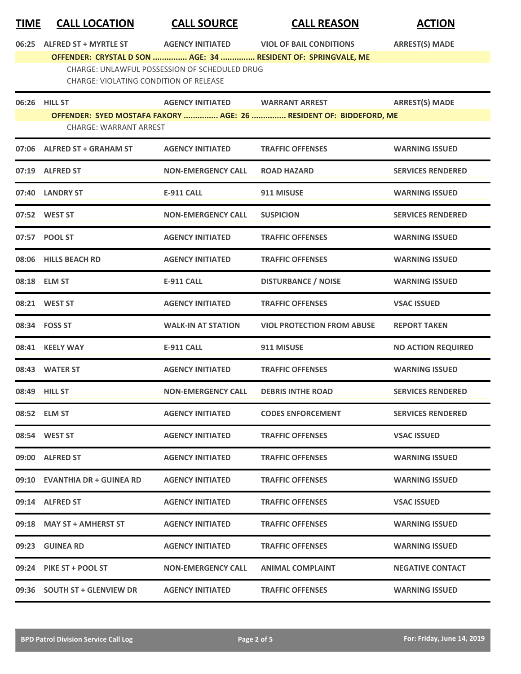| <b>TIME</b> | <b>CALL LOCATION</b> |  |
|-------------|----------------------|--|
|             |                      |  |

**TIME CALL LOCATION CALL SOURCE CALL REASON ACTION**

**06:25 ALFRED ST + MYRTLE ST AGENCY INITIATED VIOL OF BAIL CONDITIONS ARREST(S) MADE**

**OFFENDER: CRYSTAL D SON ............... AGE: 34 ............... RESIDENT OF: SPRINGVALE, ME** CHARGE: UNLAWFUL POSSESSION OF SCHEDULED DRUG CHARGE: VIOLATING CONDITION OF RELEASE

| 06:26 HILL ST                 | AGENCY INITIATED WARRANT ARREST |                                                                    | <b>ARREST(S) MADE</b>     |
|-------------------------------|---------------------------------|--------------------------------------------------------------------|---------------------------|
|                               |                                 | OFFENDER: SYED MOSTAFA FAKORY  AGE: 26  RESIDENT OF: BIDDEFORD, ME |                           |
| <b>CHARGE: WARRANT ARREST</b> |                                 |                                                                    |                           |
| 07:06 ALFRED ST + GRAHAM ST   | <b>AGENCY INITIATED</b>         | <b>TRAFFIC OFFENSES</b>                                            | <b>WARNING ISSUED</b>     |
| 07:19 ALFRED ST               | <b>NON-EMERGENCY CALL</b>       | <b>ROAD HAZARD</b>                                                 | <b>SERVICES RENDERED</b>  |
| 07:40 LANDRY ST               | <b>E-911 CALL</b>               | 911 MISUSE                                                         | <b>WARNING ISSUED</b>     |
| 07:52 WEST ST                 | <b>NON-EMERGENCY CALL</b>       | <b>SUSPICION</b>                                                   | <b>SERVICES RENDERED</b>  |
| 07:57 POOL ST                 | <b>AGENCY INITIATED</b>         | <b>TRAFFIC OFFENSES</b>                                            | <b>WARNING ISSUED</b>     |
| 08:06 HILLS BEACH RD          | <b>AGENCY INITIATED</b>         | <b>TRAFFIC OFFENSES</b>                                            | <b>WARNING ISSUED</b>     |
| 08:18 ELM ST                  | <b>E-911 CALL</b>               | <b>DISTURBANCE / NOISE</b>                                         | <b>WARNING ISSUED</b>     |
| 08:21 WEST ST                 | <b>AGENCY INITIATED</b>         | <b>TRAFFIC OFFENSES</b>                                            | <b>VSAC ISSUED</b>        |
| 08:34 FOSS ST                 | <b>WALK-IN AT STATION</b>       | <b>VIOL PROTECTION FROM ABUSE</b>                                  | <b>REPORT TAKEN</b>       |
| 08:41 KEELY WAY               | <b>E-911 CALL</b>               | 911 MISUSE                                                         | <b>NO ACTION REQUIRED</b> |
| 08:43 WATER ST                | <b>AGENCY INITIATED</b>         | <b>TRAFFIC OFFENSES</b>                                            | <b>WARNING ISSUED</b>     |
| 08:49 HILL ST                 | <b>NON-EMERGENCY CALL</b>       | <b>DEBRIS INTHE ROAD</b>                                           | <b>SERVICES RENDERED</b>  |
| 08:52 ELM ST                  | <b>AGENCY INITIATED</b>         | <b>CODES ENFORCEMENT</b>                                           | <b>SERVICES RENDERED</b>  |
| 08:54 WEST ST                 | <b>AGENCY INITIATED</b>         | <b>TRAFFIC OFFENSES</b>                                            | <b>VSAC ISSUED</b>        |
| 09:00 ALFRED ST               | <b>AGENCY INITIATED</b>         | <b>TRAFFIC OFFENSES</b>                                            | <b>WARNING ISSUED</b>     |
| 09:10 EVANTHIA DR + GUINEA RD | <b>AGENCY INITIATED</b>         | <b>TRAFFIC OFFENSES</b>                                            | <b>WARNING ISSUED</b>     |
| 09:14 ALFRED ST               | <b>AGENCY INITIATED</b>         | <b>TRAFFIC OFFENSES</b>                                            | <b>VSAC ISSUED</b>        |
| 09:18 MAY ST + AMHERST ST     | <b>AGENCY INITIATED</b>         | <b>TRAFFIC OFFENSES</b>                                            | <b>WARNING ISSUED</b>     |
| 09:23 GUINEA RD               | <b>AGENCY INITIATED</b>         | <b>TRAFFIC OFFENSES</b>                                            | <b>WARNING ISSUED</b>     |
| 09:24 PIKE ST + POOL ST       | <b>NON-EMERGENCY CALL</b>       | <b>ANIMAL COMPLAINT</b>                                            | <b>NEGATIVE CONTACT</b>   |
| 09:36 SOUTH ST + GLENVIEW DR  | <b>AGENCY INITIATED</b>         | <b>TRAFFIC OFFENSES</b>                                            | <b>WARNING ISSUED</b>     |
|                               |                                 |                                                                    |                           |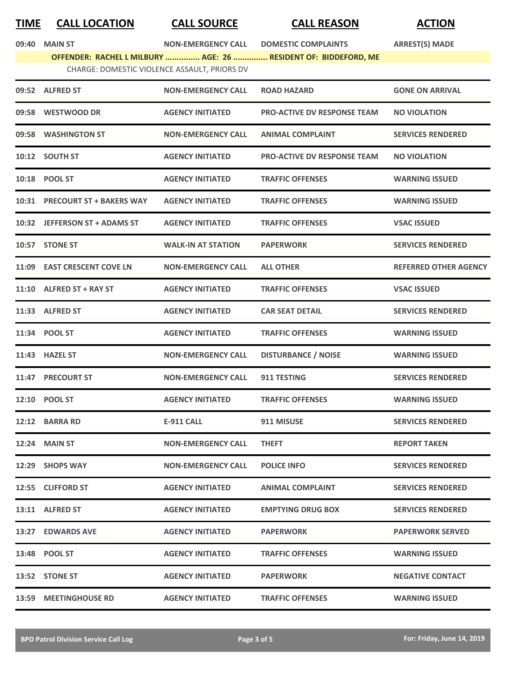## **TIME CALL LOCATION CALL SOURCE CALL REASON ACTION**

**09:40 MAIN ST NON-EMERGENCY CALL DOMESTIC COMPLAINTS ARREST(S) MADE**

|                      |                                              | OFFENDER: RACHEL L MILBURY  AGE: 26  RESIDENT OF: BIDDEFORD, ME |                        |
|----------------------|----------------------------------------------|-----------------------------------------------------------------|------------------------|
|                      | CHARGE: DOMESTIC VIOLENCE ASSAULT. PRIORS DV |                                                                 |                        |
| 09:52 ALFRED ST      | <b>NON-EMERGENCY CALL</b>                    | <b>ROAD HAZARD</b>                                              | <b>GONE ON ARRIVAL</b> |
| 00.58 IN/ECTIMOOD DR | ACENCY INITIATED                             | DDO ACTIVE DV DESDONSE TEAM                                     | <b>NO VIOLATION</b>    |

|       | 09:58 WESTWOOD DR              | <b>AGENCY INITIATED</b>   | <b>PRO-ACTIVE DV RESPONSE TEAM</b> | <b>NO VIOLATION</b>          |
|-------|--------------------------------|---------------------------|------------------------------------|------------------------------|
|       | 09:58 WASHINGTON ST            | <b>NON-EMERGENCY CALL</b> | <b>ANIMAL COMPLAINT</b>            | <b>SERVICES RENDERED</b>     |
|       | 10:12 SOUTH ST                 | <b>AGENCY INITIATED</b>   | <b>PRO-ACTIVE DV RESPONSE TEAM</b> | <b>NO VIOLATION</b>          |
|       | 10:18 POOL ST                  | <b>AGENCY INITIATED</b>   | <b>TRAFFIC OFFENSES</b>            | <b>WARNING ISSUED</b>        |
|       | 10:31 PRECOURT ST + BAKERS WAY | <b>AGENCY INITIATED</b>   | <b>TRAFFIC OFFENSES</b>            | <b>WARNING ISSUED</b>        |
|       | 10:32 JEFFERSON ST + ADAMS ST  | <b>AGENCY INITIATED</b>   | <b>TRAFFIC OFFENSES</b>            | <b>VSAC ISSUED</b>           |
|       | 10:57 STONE ST                 | <b>WALK-IN AT STATION</b> | <b>PAPERWORK</b>                   | <b>SERVICES RENDERED</b>     |
|       | 11:09 EAST CRESCENT COVE LN    | <b>NON-EMERGENCY CALL</b> | <b>ALL OTHER</b>                   | <b>REFERRED OTHER AGENCY</b> |
|       | $11:10$ ALFRED ST + RAY ST     | <b>AGENCY INITIATED</b>   | <b>TRAFFIC OFFENSES</b>            | <b>VSAC ISSUED</b>           |
|       | 11:33 ALFRED ST                | <b>AGENCY INITIATED</b>   | <b>CAR SEAT DETAIL</b>             | <b>SERVICES RENDERED</b>     |
|       | 11:34 POOL ST                  | <b>AGENCY INITIATED</b>   | <b>TRAFFIC OFFENSES</b>            | <b>WARNING ISSUED</b>        |
|       | 11:43 HAZEL ST                 | <b>NON-EMERGENCY CALL</b> | <b>DISTURBANCE / NOISE</b>         | <b>WARNING ISSUED</b>        |
|       | 11:47 PRECOURT ST              | <b>NON-EMERGENCY CALL</b> | 911 TESTING                        | <b>SERVICES RENDERED</b>     |
|       | 12:10 POOL ST                  | <b>AGENCY INITIATED</b>   | <b>TRAFFIC OFFENSES</b>            | <b>WARNING ISSUED</b>        |
|       | 12:12 BARRA RD                 | <b>E-911 CALL</b>         | 911 MISUSE                         | <b>SERVICES RENDERED</b>     |
| 12:24 | <b>MAIN ST</b>                 | <b>NON-EMERGENCY CALL</b> | <b>THEFT</b>                       | <b>REPORT TAKEN</b>          |
|       | 12:29 SHOPS WAY                | <b>NON-EMERGENCY CALL</b> | <b>POLICE INFO</b>                 | <b>SERVICES RENDERED</b>     |
|       | 12:55 CLIFFORD ST              | <b>AGENCY INITIATED</b>   | <b>ANIMAL COMPLAINT</b>            | <b>SERVICES RENDERED</b>     |
|       | 13:11 ALFRED ST                | <b>AGENCY INITIATED</b>   | <b>EMPTYING DRUG BOX</b>           | <b>SERVICES RENDERED</b>     |
|       | 13:27 EDWARDS AVE              | <b>AGENCY INITIATED</b>   | <b>PAPERWORK</b>                   | <b>PAPERWORK SERVED</b>      |
|       | 13:48 POOL ST                  | <b>AGENCY INITIATED</b>   | <b>TRAFFIC OFFENSES</b>            | <b>WARNING ISSUED</b>        |
|       | 13:52 STONE ST                 | <b>AGENCY INITIATED</b>   | <b>PAPERWORK</b>                   | <b>NEGATIVE CONTACT</b>      |
|       | 13:59 MEETINGHOUSE RD          | <b>AGENCY INITIATED</b>   | <b>TRAFFIC OFFENSES</b>            | <b>WARNING ISSUED</b>        |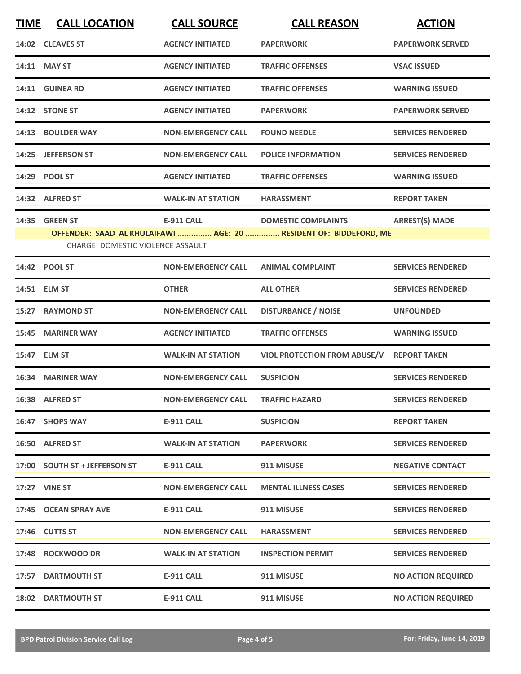| <b>TIME</b> | <b>CALL LOCATION</b>                     | <b>CALL SOURCE</b>        | <b>CALL REASON</b>                                                | <b>ACTION</b>             |
|-------------|------------------------------------------|---------------------------|-------------------------------------------------------------------|---------------------------|
|             | 14:02 CLEAVES ST                         | <b>AGENCY INITIATED</b>   | <b>PAPERWORK</b>                                                  | <b>PAPERWORK SERVED</b>   |
|             | 14:11 MAY ST                             | <b>AGENCY INITIATED</b>   | <b>TRAFFIC OFFENSES</b>                                           | <b>VSAC ISSUED</b>        |
|             | 14:11 GUINEA RD                          | <b>AGENCY INITIATED</b>   | <b>TRAFFIC OFFENSES</b>                                           | <b>WARNING ISSUED</b>     |
|             | 14:12 STONE ST                           | <b>AGENCY INITIATED</b>   | <b>PAPERWORK</b>                                                  | <b>PAPERWORK SERVED</b>   |
|             | 14:13 BOULDER WAY                        | <b>NON-EMERGENCY CALL</b> | <b>FOUND NEEDLE</b>                                               | <b>SERVICES RENDERED</b>  |
|             | 14:25 JEFFERSON ST                       | <b>NON-EMERGENCY CALL</b> | <b>POLICE INFORMATION</b>                                         | <b>SERVICES RENDERED</b>  |
|             | 14:29 POOL ST                            | <b>AGENCY INITIATED</b>   | <b>TRAFFIC OFFENSES</b>                                           | <b>WARNING ISSUED</b>     |
|             | 14:32 ALFRED ST                          | <b>WALK-IN AT STATION</b> | <b>HARASSMENT</b>                                                 | <b>REPORT TAKEN</b>       |
|             | 14:35 GREEN ST                           | <b>E-911 CALL</b>         | <b>DOMESTIC COMPLAINTS</b>                                        | <b>ARREST(S) MADE</b>     |
|             | <b>CHARGE: DOMESTIC VIOLENCE ASSAULT</b> |                           | OFFENDER: SAAD AL KHULAIFAWI  AGE: 20  RESIDENT OF: BIDDEFORD, ME |                           |
|             | 14:42 POOL ST                            | <b>NON-EMERGENCY CALL</b> | <b>ANIMAL COMPLAINT</b>                                           | <b>SERVICES RENDERED</b>  |
|             | 14:51 ELM ST                             | <b>OTHER</b>              | <b>ALL OTHER</b>                                                  | <b>SERVICES RENDERED</b>  |
| 15:27       | <b>RAYMOND ST</b>                        | <b>NON-EMERGENCY CALL</b> | <b>DISTURBANCE / NOISE</b>                                        | <b>UNFOUNDED</b>          |
| 15:45       | <b>MARINER WAY</b>                       | <b>AGENCY INITIATED</b>   | <b>TRAFFIC OFFENSES</b>                                           | <b>WARNING ISSUED</b>     |
|             | 15:47 ELM ST                             | <b>WALK-IN AT STATION</b> | <b>VIOL PROTECTION FROM ABUSE/V</b>                               | <b>REPORT TAKEN</b>       |
|             | 16:34 MARINER WAY                        | <b>NON-EMERGENCY CALL</b> | <b>SUSPICION</b>                                                  | <b>SERVICES RENDERED</b>  |
|             | 16:38 ALFRED ST                          | <b>NON-EMERGENCY CALL</b> | <b>TRAFFIC HAZARD</b>                                             | <b>SERVICES RENDERED</b>  |
|             | 16:47 SHOPS WAY                          | <b>E-911 CALL</b>         | <b>SUSPICION</b>                                                  | <b>REPORT TAKEN</b>       |
|             | 16:50 ALFRED ST                          | <b>WALK-IN AT STATION</b> | <b>PAPERWORK</b>                                                  | <b>SERVICES RENDERED</b>  |
|             | 17:00 SOUTH ST + JEFFERSON ST            | E-911 CALL                | 911 MISUSE                                                        | <b>NEGATIVE CONTACT</b>   |
|             | <b>17:27 VINE ST</b>                     | <b>NON-EMERGENCY CALL</b> | <b>MENTAL ILLNESS CASES</b>                                       | <b>SERVICES RENDERED</b>  |
|             | 17:45 OCEAN SPRAY AVE                    | E-911 CALL                | 911 MISUSE                                                        | <b>SERVICES RENDERED</b>  |
|             | 17:46 CUTTS ST                           | <b>NON-EMERGENCY CALL</b> | <b>HARASSMENT</b>                                                 | <b>SERVICES RENDERED</b>  |
|             | 17:48 ROCKWOOD DR                        | <b>WALK-IN AT STATION</b> | <b>INSPECTION PERMIT</b>                                          | <b>SERVICES RENDERED</b>  |
|             | 17:57 DARTMOUTH ST                       | E-911 CALL                | 911 MISUSE                                                        | <b>NO ACTION REQUIRED</b> |
|             | <b>18:02 DARTMOUTH ST</b>                | <b>E-911 CALL</b>         | 911 MISUSE                                                        | <b>NO ACTION REQUIRED</b> |